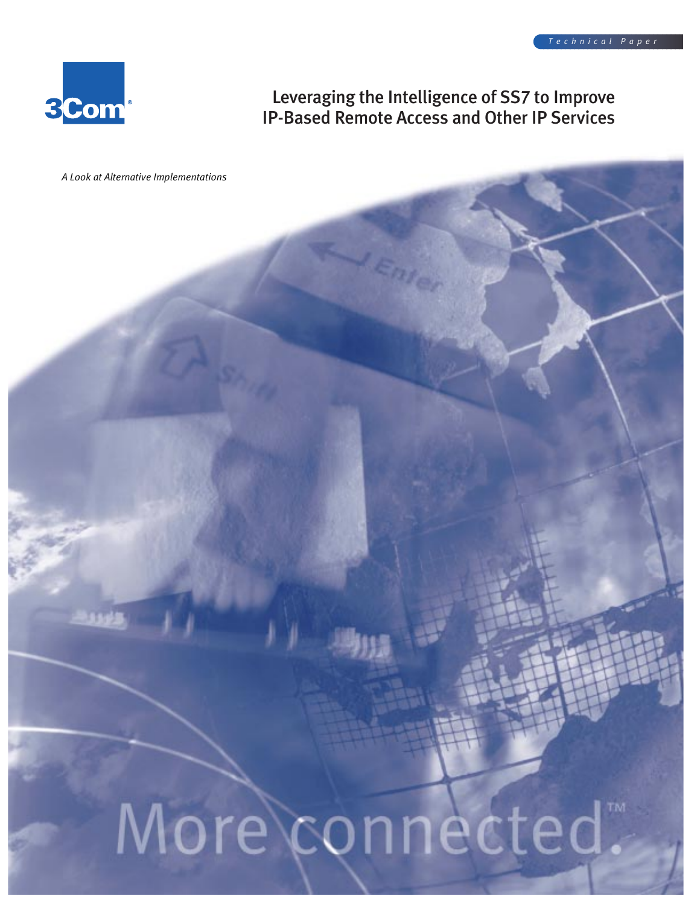

## Leveraging the Intelligence of SS7 to Improve IP-Based Remote Access and Other IP Services

*A Look at Alternative Implementations*

# More connected.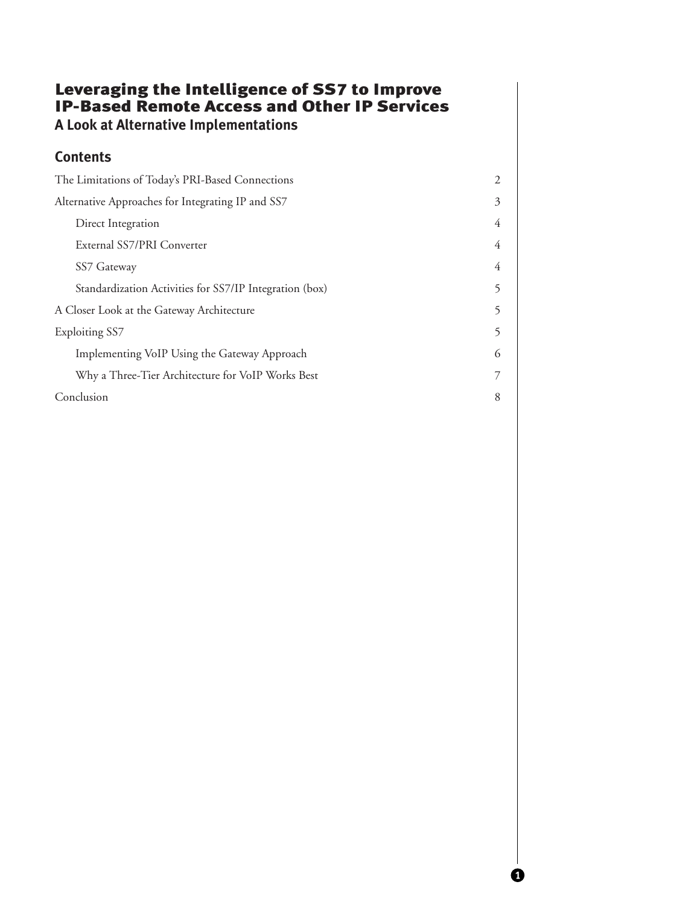## Leveraging the Intelligence of SS7 to Improve IP-Based Remote Access and Other IP Services **A Look at Alternative Implementations**

## **Contents**

| The Limitations of Today's PRI-Based Connections        | 2 |
|---------------------------------------------------------|---|
| Alternative Approaches for Integrating IP and SS7       | 3 |
| Direct Integration                                      | 4 |
| External SS7/PRI Converter                              | 4 |
| SS7 Gateway                                             | 4 |
| Standardization Activities for SS7/IP Integration (box) | 5 |
| A Closer Look at the Gateway Architecture               | 5 |
| <b>Exploiting SS7</b>                                   | 5 |
| Implementing VoIP Using the Gateway Approach            | 6 |
| Why a Three-Tier Architecture for VoIP Works Best       |   |
| Conclusion                                              | 8 |

 $\bf o$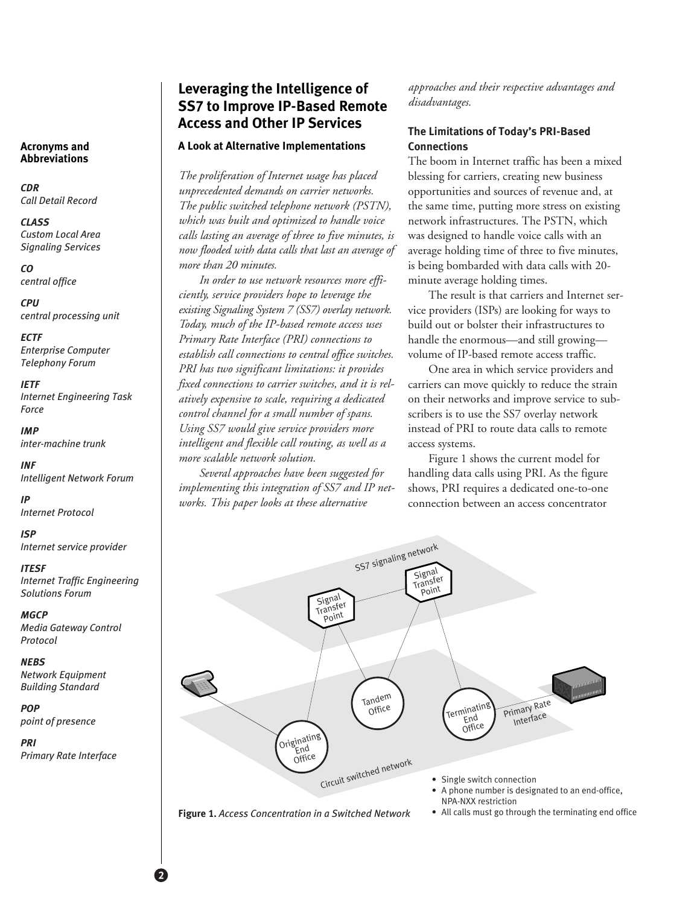#### **Acronyms and Abbreviations**

*CDR Call Detail Record*

*CLASS Custom Local Area Signaling Services*

*CO central office*

*CPU central processing unit*

*ECTF Enterprise Computer Telephony Forum*

*IETF Internet Engineering Task Force*

*IMP inter-machine trunk*

*INF Intelligent Network Forum*

*IP Internet Protocol*

*ISP Internet service provider*

*ITESF*

*Internet Traffic Engineering Solutions Forum*

*MGCP Media Gateway Control Protocol*

*NEBS Network Equipment Building Standard*

*POP point of presence*

*PRI Primary Rate Interface*

2

## **Leveraging the Intelligence of SS7 to Improve IP-Based Remote Access and Other IP Services**

#### **A Look at Alternative Implementations**

*The proliferation of Internet usage has placed unprecedented demands on carrier networks. The public switched telephone network (PSTN), which was built and optimized to handle voice calls lasting an average of three to five minutes, is now flooded with data calls that last an average of more than 20 minutes.* 

*In order to use network resources more efficiently, service providers hope to leverage the existing Signaling System 7 (SS7) overlay network. Today, much of the IP-based remote access uses Primary Rate Interface (PRI) connections to establish call connections to central office switches. PRI has two significant limitations: it provides fixed connections to carrier switches, and it is relatively expensive to scale, requiring a dedicated control channel for a small number of spans. Using SS7 would give service providers more intelligent and flexible call routing, as well as a more scalable network solution.* 

*Several approaches have been suggested for implementing this integration of SS7 and IP networks. This paper looks at these alternative*

*approaches and their respective advantages and disadvantages.*

## **The Limitations of Today's PRI-Based Connections**

The boom in Internet traffic has been a mixed blessing for carriers, creating new business opportunities and sources of revenue and, at the same time, putting more stress on existing network infrastructures. The PSTN, which was designed to handle voice calls with an average holding time of three to five minutes, is being bombarded with data calls with 20 minute average holding times.

The result is that carriers and Internet service providers (ISPs) are looking for ways to build out or bolster their infrastructures to handle the enormous—and still growing volume of IP-based remote access traffic.

One area in which service providers and carriers can move quickly to reduce the strain on their networks and improve service to subscribers is to use the SS7 overlay network instead of PRI to route data calls to remote access systems.

Figure 1 shows the current model for handling data calls using PRI. As the figure shows, PRI requires a dedicated one-to-one connection between an access concentrator



**Figure 1.** *Access Concentration in a Switched Network*

• All calls must go through the terminating end office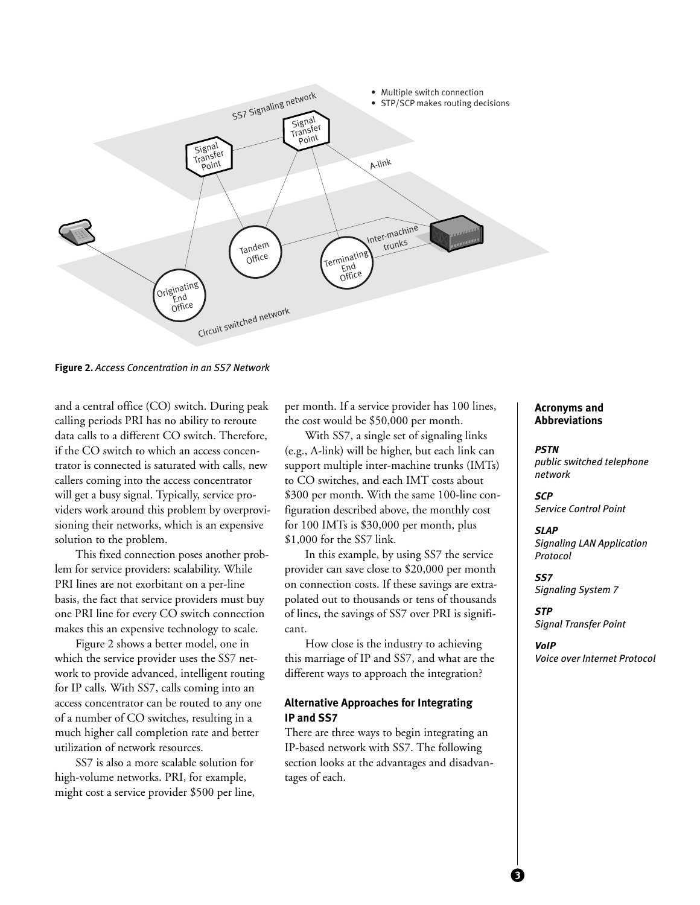

**Figure 2.** *Access Concentration in an SS7 Network*

and a central office (CO) switch. During peak calling periods PRI has no ability to reroute data calls to a different CO switch. Therefore, if the CO switch to which an access concentrator is connected is saturated with calls, new callers coming into the access concentrator will get a busy signal. Typically, service providers work around this problem by overprovisioning their networks, which is an expensive solution to the problem.

This fixed connection poses another problem for service providers: scalability. While PRI lines are not exorbitant on a per-line basis, the fact that service providers must buy one PRI line for every CO switch connection makes this an expensive technology to scale.

Figure 2 shows a better model, one in which the service provider uses the SS7 network to provide advanced, intelligent routing for IP calls. With SS7, calls coming into an access concentrator can be routed to any one of a number of CO switches, resulting in a much higher call completion rate and better utilization of network resources.

SS7 is also a more scalable solution for high-volume networks. PRI, for example, might cost a service provider \$500 per line, per month. If a service provider has 100 lines, the cost would be \$50,000 per month.

With SS7, a single set of signaling links (e.g., A-link) will be higher, but each link can support multiple inter-machine trunks (IMTs) to CO switches, and each IMT costs about \$300 per month. With the same 100-line configuration described above, the monthly cost for 100 IMTs is \$30,000 per month, plus \$1,000 for the SS7 link.

In this example, by using SS7 the service provider can save close to \$20,000 per month on connection costs. If these savings are extrapolated out to thousands or tens of thousands of lines, the savings of SS7 over PRI is significant.

How close is the industry to achieving this marriage of IP and SS7, and what are the different ways to approach the integration?

## **Alternative Approaches for Integrating IP and SS7**

There are three ways to begin integrating an IP-based network with SS7. The following section looks at the advantages and disadvantages of each.

#### **Acronyms and Abbreviations**

#### *PSTN public switched telephone network*

*SCP Service Control Point*

*SLAP Signaling LAN Application Protocol*

*SS7 Signaling System 7*

*STP Signal Transfer Point*

*VoIP Voice over Internet Protocol*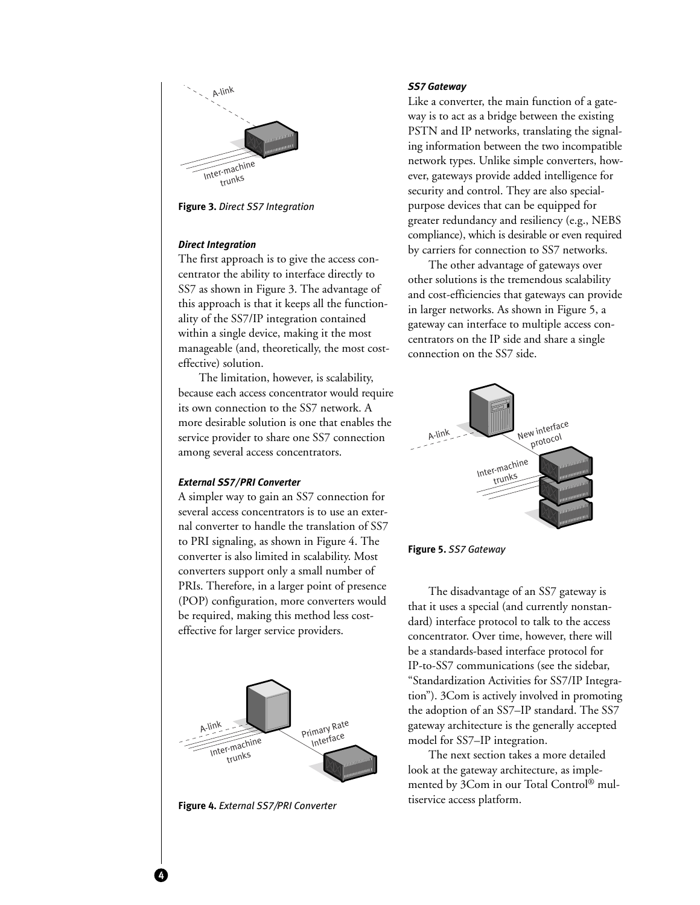

**Figure 3.** *Direct SS7 Integration*

#### *Direct Integration*

The first approach is to give the access concentrator the ability to interface directly to SS7 as shown in Figure 3. The advantage of this approach is that it keeps all the functionality of the SS7/IP integration contained within a single device, making it the most manageable (and, theoretically, the most costeffective) solution.

The limitation, however, is scalability, because each access concentrator would require its own connection to the SS7 network. A more desirable solution is one that enables the service provider to share one SS7 connection among several access concentrators.

#### *External SS7/PRI Converter*

A simpler way to gain an SS7 connection for several access concentrators is to use an external converter to handle the translation of SS7 to PRI signaling, as shown in Figure 4. The converter is also limited in scalability. Most converters support only a small number of PRIs. Therefore, in a larger point of presence (POP) configuration, more converters would be required, making this method less costeffective for larger service providers.



**Figure 4.** *External SS7/PRI Converter*

4

#### *SS7 Gateway*

Like a converter, the main function of a gateway is to act as a bridge between the existing PSTN and IP networks, translating the signaling information between the two incompatible network types. Unlike simple converters, however, gateways provide added intelligence for security and control. They are also specialpurpose devices that can be equipped for greater redundancy and resiliency (e.g., NEBS compliance), which is desirable or even required by carriers for connection to SS7 networks.

The other advantage of gateways over other solutions is the tremendous scalability and cost-efficiencies that gateways can provide in larger networks. As shown in Figure 5, a gateway can interface to multiple access concentrators on the IP side and share a single connection on the SS7 side.





The disadvantage of an SS7 gateway is that it uses a special (and currently nonstandard) interface protocol to talk to the access concentrator. Over time, however, there will be a standards-based interface protocol for IP-to-SS7 communications (see the sidebar, "Standardization Activities for SS7/IP Integration"). 3Com is actively involved in promoting the adoption of an SS7–IP standard. The SS7 gateway architecture is the generally accepted model for SS7–IP integration.

The next section takes a more detailed look at the gateway architecture, as implemented by 3Com in our Total Control® multiservice access platform.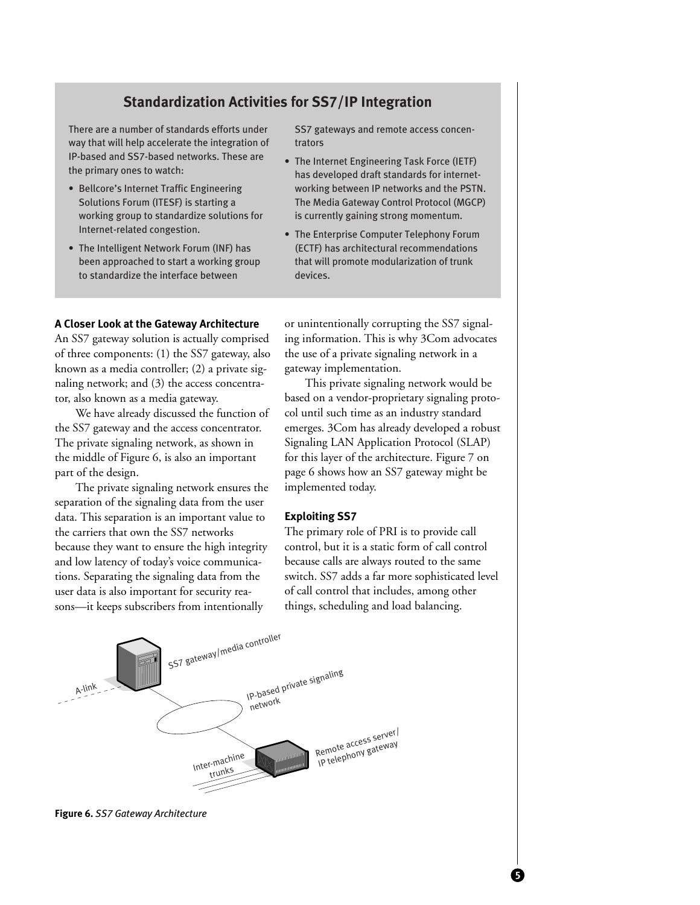## **Standardization Activities for SS7/IP Integration**

There are a number of standards efforts under way that will help accelerate the integration of IP-based and SS7-based networks. These are the primary ones to watch:

- Bellcore's Internet Traffic Engineering Solutions Forum (ITESF) is starting a working group to standardize solutions for Internet-related congestion.
- The Intelligent Network Forum (INF) has been approached to start a working group to standardize the interface between

SS7 gateways and remote access concentrators

- The Internet Engineering Task Force (IETF) has developed draft standards for internetworking between IP networks and the PSTN. The Media Gateway Control Protocol (MGCP) is currently gaining strong momentum.
- The Enterprise Computer Telephony Forum (ECTF) has architectural recommendations that will promote modularization of trunk devices.

#### **A Closer Look at the Gateway Architecture**

An SS7 gateway solution is actually comprised of three components: (1) the SS7 gateway, also known as a media controller; (2) a private signaling network; and (3) the access concentrator, also known as a media gateway.

We have already discussed the function of the SS7 gateway and the access concentrator. The private signaling network, as shown in the middle of Figure 6, is also an important part of the design.

The private signaling network ensures the separation of the signaling data from the user data. This separation is an important value to the carriers that own the SS7 networks because they want to ensure the high integrity and low latency of today's voice communications. Separating the signaling data from the user data is also important for security reasons—it keeps subscribers from intentionally

or unintentionally corrupting the SS7 signaling information. This is why 3Com advocates the use of a private signaling network in a gateway implementation.

This private signaling network would be based on a vendor-proprietary signaling protocol until such time as an industry standard emerges. 3Com has already developed a robust Signaling LAN Application Protocol (SLAP) for this layer of the architecture. Figure 7 on page 6 shows how an SS7 gateway might be implemented today.

#### **Exploiting SS7**

The primary role of PRI is to provide call control, but it is a static form of call control because calls are always routed to the same switch. SS7 adds a far more sophisticated level of call control that includes, among other things, scheduling and load balancing.



**Figure 6.** *SS7 Gateway Architecture*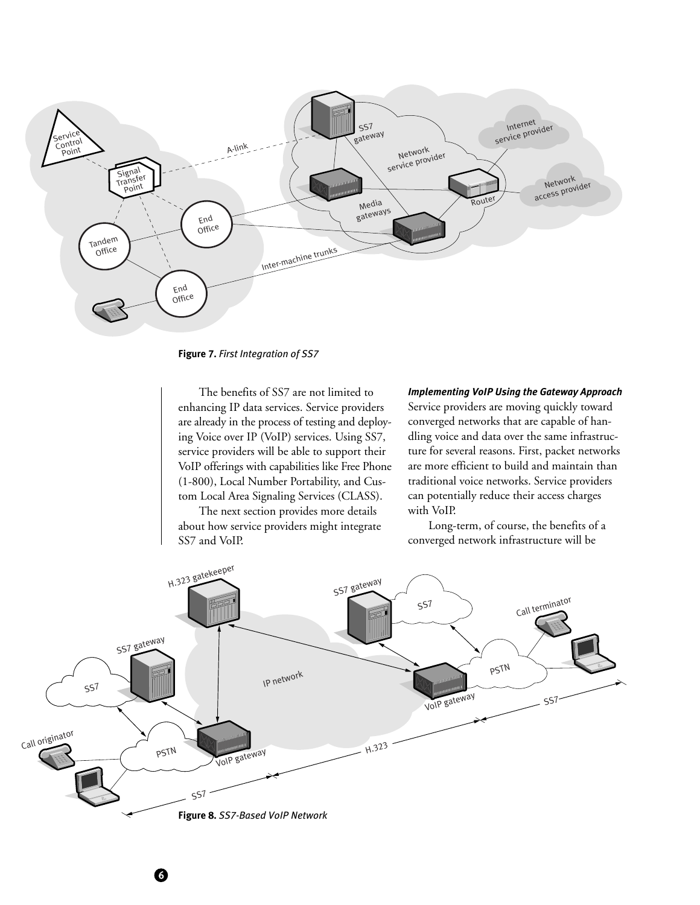

**Figure 7.** *First Integration of SS7*

The benefits of SS7 are not limited to enhancing IP data services. Service providers are already in the process of testing and deploying Voice over IP (VoIP) services. Using SS7, service providers will be able to support their VoIP offerings with capabilities like Free Phone (1-800), Local Number Portability, and Custom Local Area Signaling Services (CLASS).

The next section provides more details about how service providers might integrate SS7 and VoIP.

6

#### *Implementing VoIP Using the Gateway Approach*

Service providers are moving quickly toward converged networks that are capable of handling voice and data over the same infrastructure for several reasons. First, packet networks are more efficient to build and maintain than traditional voice networks. Service providers can potentially reduce their access charges with VoIP.

Long-term, of course, the benefits of a converged network infrastructure will be

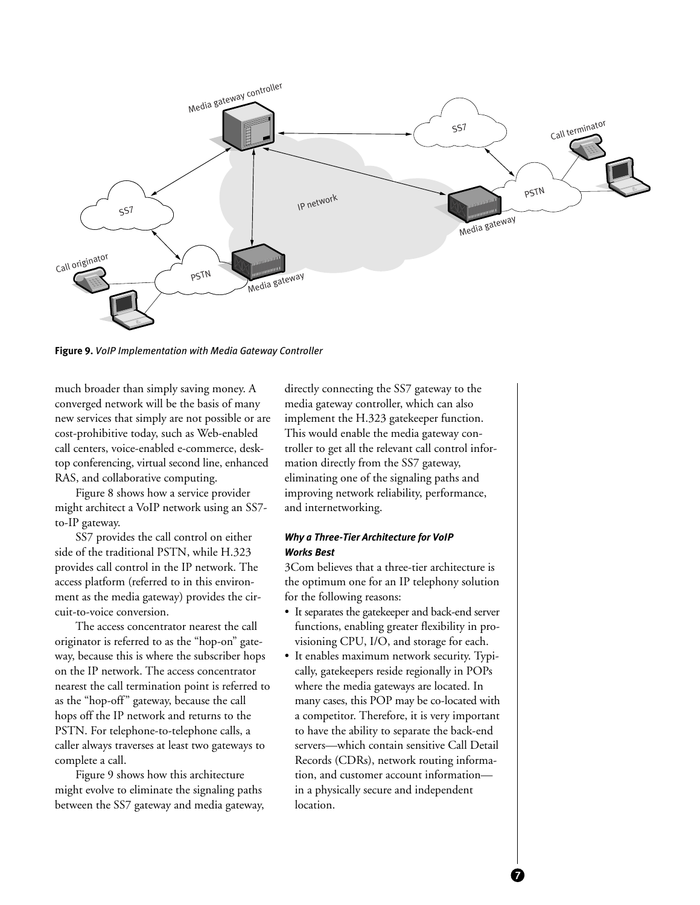

**Figure 9.** *VoIP Implementation with Media Gateway Controller*

much broader than simply saving money. A converged network will be the basis of many new services that simply are not possible or are cost-prohibitive today, such as Web-enabled call centers, voice-enabled e-commerce, desktop conferencing, virtual second line, enhanced RAS, and collaborative computing.

Figure 8 shows how a service provider might architect a VoIP network using an SS7 to-IP gateway.

SS7 provides the call control on either side of the traditional PSTN, while H.323 provides call control in the IP network. The access platform (referred to in this environment as the media gateway) provides the circuit-to-voice conversion.

The access concentrator nearest the call originator is referred to as the "hop-on" gateway, because this is where the subscriber hops on the IP network. The access concentrator nearest the call termination point is referred to as the "hop-off" gateway, because the call hops off the IP network and returns to the PSTN. For telephone-to-telephone calls, a caller always traverses at least two gateways to complete a call.

Figure 9 shows how this architecture might evolve to eliminate the signaling paths between the SS7 gateway and media gateway, directly connecting the SS7 gateway to the media gateway controller, which can also implement the H.323 gatekeeper function. This would enable the media gateway controller to get all the relevant call control information directly from the SS7 gateway, eliminating one of the signaling paths and improving network reliability, performance, and internetworking.

### *Why a Three-Tier Architecture for VoIP Works Best*

3Com believes that a three-tier architecture is the optimum one for an IP telephony solution for the following reasons:

- It separates the gatekeeper and back-end server functions, enabling greater flexibility in provisioning CPU, I/O, and storage for each.
- It enables maximum network security. Typically, gatekeepers reside regionally in POPs where the media gateways are located. In many cases, this POP may be co-located with a competitor. Therefore, it is very important to have the ability to separate the back-end servers—which contain sensitive Call Detail Records (CDRs), network routing information, and customer account information in a physically secure and independent location.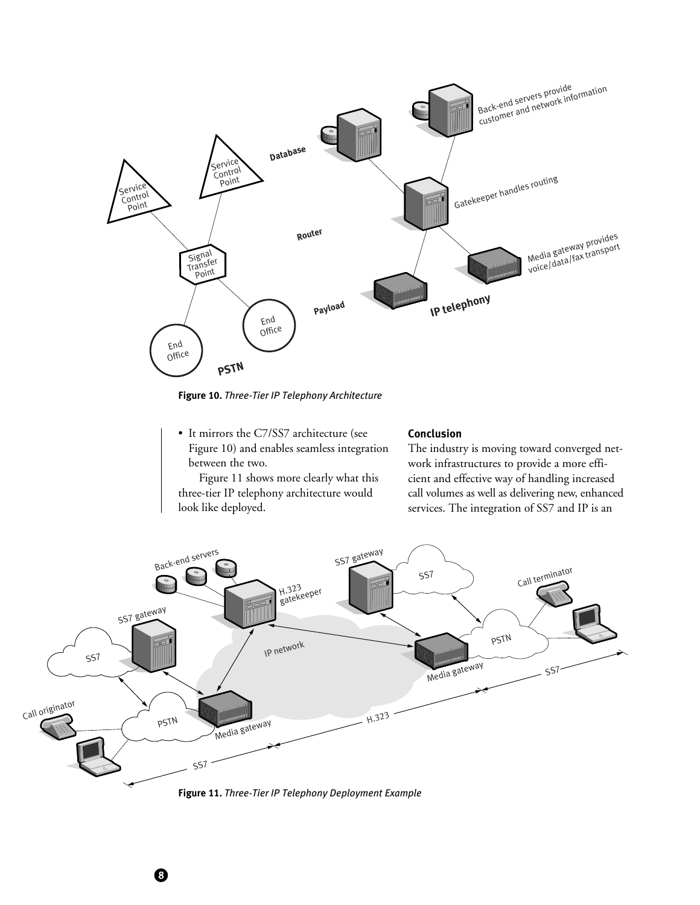

**Figure 10.** *Three-Tier IP Telephony Architecture*

• It mirrors the C7/SS7 architecture (see Figure 10) and enables seamless integration between the two.

look like deployed.

8

Figure 11 shows more clearly what this three-tier IP telephony architecture would

# **Conclusion**

The industry is moving toward converged network infrastructures to provide a more efficient and effective way of handling increased call volumes as well as delivering new, enhanced services. The integration of SS7 and IP is an



**Figure 11.** *Three-Tier IP Telephony Deployment Example*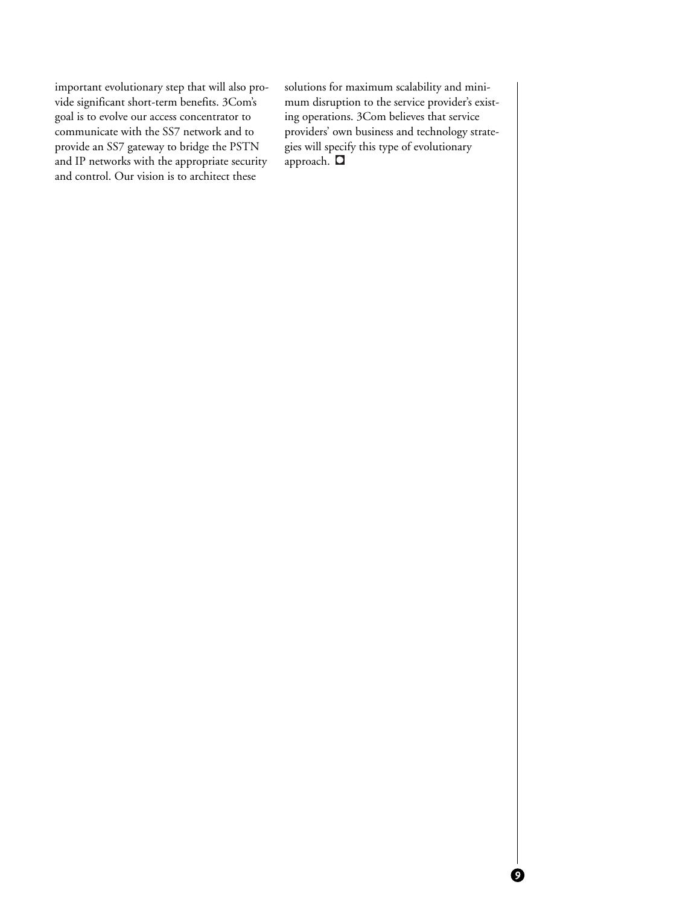important evolutionary step that will also provide significant short-term benefits. 3Com's goal is to evolve our access concentrator to communicate with the SS7 network and to provide an SS7 gateway to bridge the PSTN and IP networks with the appropriate security and control. Our vision is to architect these

solutions for maximum scalability and minimum disruption to the service provider's existing operations. 3Com believes that service providers' own business and technology strategies will specify this type of evolutionary approach. D